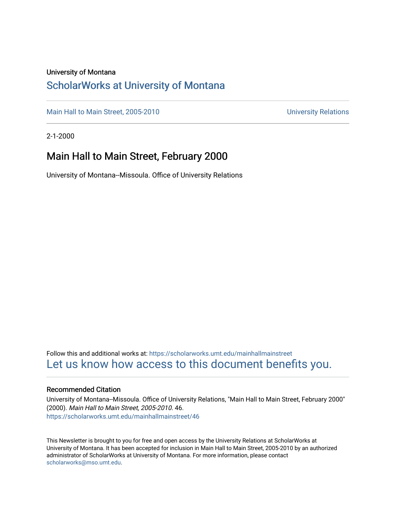#### University of Montana

#### [ScholarWorks at University of Montana](https://scholarworks.umt.edu/)

[Main Hall to Main Street, 2005-2010](https://scholarworks.umt.edu/mainhallmainstreet) Main Hall to Main Street, 2005-2010

2-1-2000

### Main Hall to Main Street, February 2000

University of Montana--Missoula. Office of University Relations

Follow this and additional works at: [https://scholarworks.umt.edu/mainhallmainstreet](https://scholarworks.umt.edu/mainhallmainstreet?utm_source=scholarworks.umt.edu%2Fmainhallmainstreet%2F46&utm_medium=PDF&utm_campaign=PDFCoverPages) [Let us know how access to this document benefits you.](https://goo.gl/forms/s2rGfXOLzz71qgsB2) 

#### Recommended Citation

University of Montana--Missoula. Office of University Relations, "Main Hall to Main Street, February 2000" (2000). Main Hall to Main Street, 2005-2010. 46. [https://scholarworks.umt.edu/mainhallmainstreet/46](https://scholarworks.umt.edu/mainhallmainstreet/46?utm_source=scholarworks.umt.edu%2Fmainhallmainstreet%2F46&utm_medium=PDF&utm_campaign=PDFCoverPages) 

This Newsletter is brought to you for free and open access by the University Relations at ScholarWorks at University of Montana. It has been accepted for inclusion in Main Hall to Main Street, 2005-2010 by an authorized administrator of ScholarWorks at University of Montana. For more information, please contact [scholarworks@mso.umt.edu.](mailto:scholarworks@mso.umt.edu)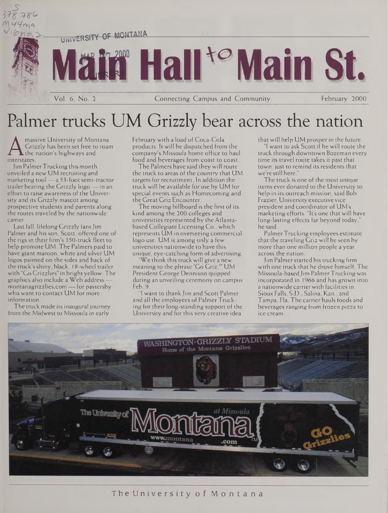

# Palmer trucks UM Grizzly bear across the nation

A Grizzly handler<br>interstates.<br>Lim Palmer Tru massive University of Montana Grizzly has been set free to roam  $\blacktriangle$  the nation's highways and

Jim Palmer Trucking this month unveiled a new UM recruiting and marketing tool — a 53-foot semi-tractor trailer bearing the Grizzly logo — in an effort to raise awareness of the University and its Grizzly mascot among prospective students and parents along the routes traveled by the nationwide carrier.

Last fall, lifelong Grizzly fansJim Palmer and his son, Scott, offered one of the rigs in their firm's 350-truck fleet to help promote UM. The Palmers paid to have giant maroon, white and silver UM logos painted on the sides and back of the truck's shiny, black, 18-wheel trailer with "Go Grizzlies" in bright yellow. The graphics also include a Web address <montanagrizzlies.com> — for passersby who want to contact UM for more information.

The truck made its inaugural journey from the Midwest to Missoula in early

February with a load of Coca-Cola products. It will be dispatched from the company's Missoula home office to haul food and beverages from coast to coast.

The Palmers have said they will route the truck to areas of the country that UM targets for recruitment. In addition the truck will be available for use by UM for special events such as Homecoming and the Great Griz Encounter.

The moving billboard is the first of its kind among the 200 colleges and universities represented by the Atlantabased Collegiate Licensing Co., which represents UM in overseeing commercial logo use. UM is among only a few universities nationwide to have this unique, eye-catching form of advertising.

We think this truck will give a new meaning to the phrase 'Go Griz,'" UM President George Dennison quipped during an unveiling ceremony on campus Feb. 9.

"I want to thank Jim and Scott Palmer and all the employees of Palmer Trucking for their long-standing support of the University and for this very creative idea

thatwill help UM prosper in the future.

"I want to ask Scott if he will route the truck through downtown Bozeman every time its travel route takes it past that town, just to remind its residents that we're still here."

The truck is one of the most unique items ever donated to the University to help in its outreach mission, said Bob Frazier, Universityexecutivevice president and coordinator of UM's marketing efforts. "It's one that will have long-lasting effects far beyond today," he said.

PalmerTrucking employees estimate that the traveling Griz will be seen by more than one million people a year across the nation.

Jim Palmerstarted his trucking firm with one truck that he drove himself. The Missoula-basedJim PalmerTrucking was incorporated in 1966 and has grown into a nationwide carrier with facilities in Sioux Falls, S.D.; Salina, Kan.; and Tampa, Fla. The carrier hauls foods and beverages ranging from frozen pizza to ice cream.

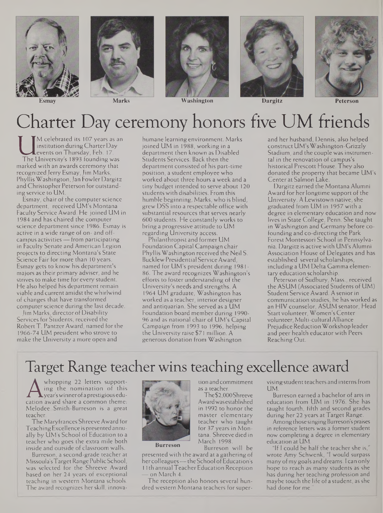





**Esmay Marks Washington Dargitz Peterson**



# Charter Day ceremony honors five UM friends

Institution during Charter Day<br>events on Thursday, Feb. 17.<br>marked with an awards ceremony that M celebrated its 107 years as an institution during Charter Day events on Thursday, Feb. 17. The University's 1893 founding was recognized Jerry Esmay, Jim Marks, Phyllis Washington,Jan Fowler Dargitz and Christopher Peterson for outstanding service to UM.

Esmay, chair of the computer science department, received UM's Montana Faculty Service Award. He joined UM in 1984 and has chaired the computer science department since 1986. Esmay is active in a wide range of on- and offcampus activities— from participating in Faculty Senate and American Legion projects to directing Montana's State Science Fair for more than 10 years. Esmay gets to know his department's majors as their primary adviser, and he strives to make time for every student. He also helped his department remain viable and current amidst the whirlwind of changes that have transformed computer science during the last decade.

Jim Marks, director of Disability Services for Students, received the Robert T. Pantzer Award, named for the 1966-74 UM president who strove to make the University a more open and

humane learning environment. Marks joined UM in 1988, working in a department then known as Disabled Students Services. Back then the department consisted of his part-time position, a student employee who worked about three hours a week and a tiny budget intended to serve about 120 students with disabilities. From this humble beginning, Marks, who is blind, grew DSS into a respectable office with substantial resources that serves nearly 600 students. He constantly works to bring a progressive attitude to UM regarding University access.

Philanthropist and former UM Foundation Capital Campaign chair Phyllis Washington received the Neil S. Bucklew Presidential ServiceAward, named for UM's president during 1981- 86. The award recognizes Washington's efforts to foster understanding of the University's needs and strengths. A 1964 UM graduate, Washington has worked as a teacher, interior designer and antiquarian. She served as a UM Foundation board member during 1990- 96 and as national chair of UM's Capital Campaign from 1993 to 1996, helping the University raise \$71 million. A generous donation from Washington

and her husband, Dennis, also helped construct UM's Washington-Grizzly Stadium, and the couple was instrumental in the renovation of campus's historical Prescott House. They also donated the property that became UM's Center at Salmon Lake.

Dargitz earned the Montana Alumni Award for her longtime support of the University. A Lewistown native, she graduated from UM in 1957 with a degree in elementary education and now lives in State College, Penn. She taught in Washington and Germany before cofounding and co-directing the Park Forest Montessori School in Pennsylvania. Dargitz is active with UM's Alumni Association House of Delegates and has established several scholarships, including a UM Delta Gamma elementary education scholarship.

Peterson of Sudbury, Mass., received the ASUM (Associated Students of UM) Student Service Award. A seniorin communication studies, he has worked as an HIV counselor, ASUM senator, Head Startvolunteer, Women's Center volunteer,Multi-cultural Alliance Prejudice Reduction Workshop leader and peer health educator with Peers Reaching Out.

## Target Range teacher wins teaching excellence award

tion andcommitment

tana. Shreeve died in March 1998.

The\$2,000Shreeve

as a teacher.

 $A_{\text{cation}}$ whopping 22 letters supporting the nomination of this year'swinnerofa prestigiouseducation award share a common theme: Melodee Smith-Burreson is a great teacher.

The Maryfrances Shreeve Award for TeachingExcellence is presentedannually by UM's School of Education to a teacher who goes the extra mile both inside and outside of classroom walls.

Burreson, a second-grade teacher at Missoula'sTargetRange PublicSchool, was selected for the Shreeve Award based on her 24 years of exceptional teaching in western Montana schools. The award recognizes her skill, innova-

**Burreson**

Burreson will be presented with the award at a gathering of her colleagues - the School of Education's 11th annual Teacher Education Reception on March 4.

The reception also honors several hundred western Montana teachers for supervisingstudent teachers and interns from UM.

Burreson earned a bachelor of arts in education from UM in 1976. She has taught fourth, fifth and second grades during her 22 years at Target Range.

Among those singing Burreson's praises in reference letters was a former student now completing a degree in elementary education at UM.

"If <sup>1</sup> could be half the teacher she is," wrote Amy Schwenk, "I would surpass many ofmy goals and dreams. <sup>I</sup> can only hope to reach as many students as she has during her teaching profession and maybe touch the life of a student, as she had done for me.

Awardwasestablished in 1992 to honor the master elementary teacher who taught for 37 years in Mon-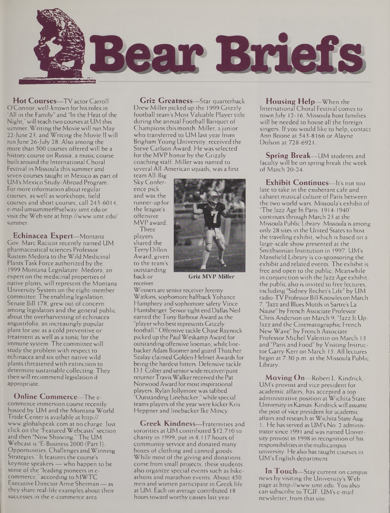

**Hot Courses—**TV actor Carroll O'Connor, well-known for hisroles in "All in the Family" and "In the Heat of the Night," will teach two courses at UM this summer. Writing the Movie will run May 22-June 23, and Writing the Movie II will run June 26-July 28. Also among the more than 500 courses offered will be a history course on Russia, a music course built around the International Choral Festival in Missoula this summer and seven courses taught in Mexico as part of UM's Mexico Study-Abroad Program. Formore information about regular courses, as well as workshops, field courses and short courses, call 243-6014, [e-mailumsummer@selway.umt.edu](mailto:e-mailumsummer@selway.umt.edu) or visit the Web site at <http://www.umt.edu/> summer.

**Echinacea Expert—**Montana Cov. Marc Racicot recently named UM pharmaceutical sciences Professor Rustem Medora to the Wild Medicinal Plants Task Force authorized by the 1999 Montana Legislature. Medora, an expert on the medicinal properties of native plants, will represent the Montana University System on the eight-member committee. The enabling legislation, Senate Bill 178, grew out of concern among legislators and the general public about the overharvesting of echinacea angustifolia, an increasingly popular plant for use as a cold preventive or treatment as well as a tonic for the immune system. The committee will study the problem with respect to echinacea and six other native wild plants threatened with extinction to determine sustainable collecting. They then will recommend legislation if appropriate.

**Online Commerce—**The ecommerce immersion course recently hosted by UM and the Montana World Trade Center is available at http:// [www.globalspeak.com](http://www.globalspeak.com) at no charge.Just click on the "Featured Webcasts" section and then "Now Showing." The UM Webcast is "E-Business 2000 (Part I): Opportunities, Challenges andWinning Strategies." It features the course's keynote speakers — who happen to be some of the "leading pioneers in ecommerce," according to MWTC Executive DirectorArnie Sherman— as they share real-life examples about their successes in the e-commerce area.

**Griz Greatness—**Star quarterback DrewMiller picked up the 1999 Grizzly football team's Most Valuable Player title during the annual Football Banquet of Champions this month. Miller, a junior who transferred to UM last year from Brigham Young University, received the Steve Carlson Award. He was selected for the MVP honor by the Grizzly coaching staff. Miller was named to several All-American squads, was a first

teamAll-Big Sky Conference pick and was the runner-up for the league's offensive MVP award.

Three players shared the TerryDillon Award, given to the team's outstanding back or receiver.



**Griz MVP Miller**

Winners are senior receiver Jeremy Watkins, sophomore halfback Yohance Humphrey and sophomore safety Vince Huntsberger. Senior tight end Dallas Neil earned the Tony Barbour Award as the "playerwho bestrepresents Grizzly football." Offensive tackle Chase Raynock picked up the Paul Weskamp Award for outstanding offensive lineman, while linebackerAdam Boomer and guard Thatcher Szalay claimed Golden Helmet Awards for being the hardest hitters. Defensive tackle D.J. Colter and senior wide receiver/punt returner Travis Walker received the Pat Norwood Award formost inspirational players. Rylan Jollymore was tabbed "OutstandingLinebacker,"while special teams players of the year were kicker Kris Heppner and linebacker Ike Mincy.

**Greek Kindness—**Fraternities and sororities at UM contributed \$12,710 to charity in 1999, put in 8,117 hours of community service and donated many boxes of clothing and canned goods. While most of the giving and donations come from small projects, these students also organize special events such as bikeathons and marathon events. About 450 men and women participate in Greek life at UM. Each on average contributed 18 hours toward worthy causes last year.

**Housing Help—**When the International Choral Festival comes to town July 12-16, Missoula host families will be needed to house all the foreign singers. If you would like to help, contact Ann Boone at 543-8166 or Alayne Dolson at 728-6921.

**Spring Break—**UM students and faculty will be on spring break the week of March 20-24.

**Exhibit Continues—**It's not too late to take in the exuberant cafe and cabaret musical culture of Paris between the two world wars. Missoula's exhibit of "The Jazz Age In Paris: 1914-1940" continues through March 23 at the Missoula Public Library. Missoula is among only 28 sites in the United States to host the traveling exhibit, which is based on a large-scale show presented at the Smithsonian Institution in 1997. UM's Mansfield Library is co-sponsoring the exhibit and related events. The exhibit is free and open to the public. Meanwhile in conjunction with the Jazz Age exhibit, the public also is invited to free lectures, including "Sidney Bechet's Life" by UM radio-TV Professor Bill Knowles on March "Jazz and Blues Motifs in Sartre's La Nause" by French Associate Professor Chris Anderson on March 9, "Jazz It Up: Jazz and the Cinematographic French New Wave" by French Associate Professor Michel Valentin on March 13 and "Paris and Food" by Visiting Instructor Garry Kerr on March 15. All lectures begin at 7:30 p.m. at the Missoula Public Library.

**Moving On—**Robert L. Kindrick, UM's provost and vice president for academic affairs, has accepted a top administrative position at Wichita State University in Kansas. Kindrickwill assume the post of vice president for academic affairs and research at Wichita State Aug. 1. He has served as UM's No. 2 administrator since 1991 and was named University provost in 1998 in recognition of his responsibilitiesin themulticampus university. He also has taught courses in UM's English department.

**In Touch—**Stay current on campus news by visiting the University's Web page at <http://www.umt.edu>. You also can subscribe to TGIF, UM's e-mail newsletter, from thatsite.